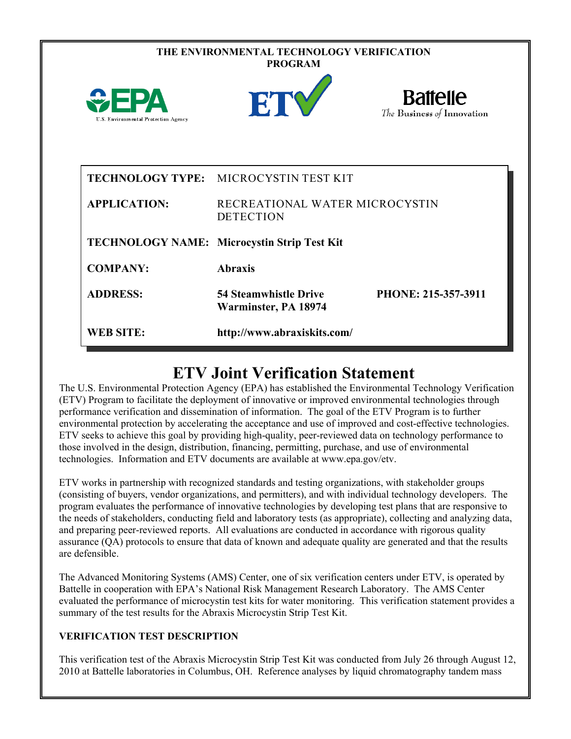|                                                         | THE ENVIRONMENTAL TECHNOLOGY VERIFICATION<br><b>PROGRAM</b> |                                               |
|---------------------------------------------------------|-------------------------------------------------------------|-----------------------------------------------|
| $\mathbf{2FPA}$<br>U.S. Environmental Protection Agency | ET                                                          | <b>Battelle</b><br>The Business of Innovation |
|                                                         | <b>TECHNOLOGY TYPE: MICROCYSTIN TEST KIT</b>                |                                               |
| <b>APPLICATION:</b>                                     | RECREATIONAL WATER MICROCYSTIN<br><b>DETECTION</b>          |                                               |
|                                                         | TECHNOLOGY NAME: Microcystin Strip Test Kit                 |                                               |
| <b>COMPANY:</b>                                         | <b>Abraxis</b>                                              |                                               |
| <b>ADDRESS:</b>                                         | <b>54 Steamwhistle Drive</b><br>Warminster, PA 18974        | PHONE: 215-357-3911                           |
| <b>WEB SITE:</b>                                        | http://www.abraxiskits.com/                                 |                                               |

## **ETV Joint Verification Statement**

The U.S. Environmental Protection Agency (EPA) has established the Environmental Technology Verification (ETV) Program to facilitate the deployment of innovative or improved environmental technologies through performance verification and dissemination of information. The goal of the ETV Program is to further environmental protection by accelerating the acceptance and use of improved and cost-effective technologies. ETV seeks to achieve this goal by providing high-quality, peer-reviewed data on technology performance to those involved in the design, distribution, financing, permitting, purchase, and use of environmental technologies. Information and ETV documents are available at www.epa.gov/etv.

ETV works in partnership with recognized standards and testing organizations, with stakeholder groups (consisting of buyers, vendor organizations, and permitters), and with individual technology developers. The program evaluates the performance of innovative technologies by developing test plans that are responsive to the needs of stakeholders, conducting field and laboratory tests (as appropriate), collecting and analyzing data, and preparing peer-reviewed reports. All evaluations are conducted in accordance with rigorous quality assurance (QA) protocols to ensure that data of known and adequate quality are generated and that the results are defensible.

The Advanced Monitoring Systems (AMS) Center, one of six verification centers under ETV, is operated by Battelle in cooperation with EPA's National Risk Management Research Laboratory. The AMS Center evaluated the performance of microcystin test kits for water monitoring. This verification statement provides a summary of the test results for the Abraxis Microcystin Strip Test Kit.

## **VERIFICATION TEST DESCRIPTION**

This verification test of the Abraxis Microcystin Strip Test Kit was conducted from July 26 through August 12, 2010 at Battelle laboratories in Columbus, OH. Reference analyses by liquid chromatography tandem mass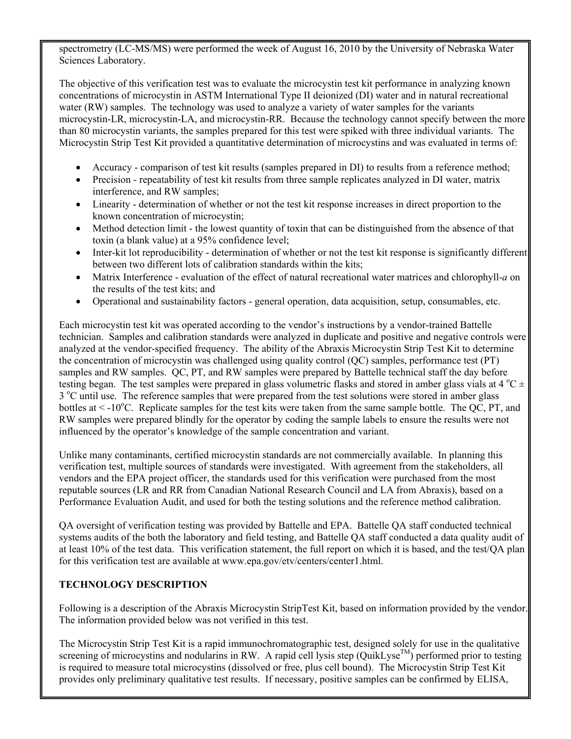spectrometry (LC-MS/MS) were performed the week of August 16, 2010 by the University of Nebraska Water Sciences Laboratory.

The objective of this verification test was to evaluate the microcystin test kit performance in analyzing known concentrations of microcystin in ASTM International Type II deionized (DI) water and in natural recreational water (RW) samples. The technology was used to analyze a variety of water samples for the variants microcystin-LR, microcystin-LA, and microcystin-RR. Because the technology cannot specify between the more than 80 microcystin variants, the samples prepared for this test were spiked with three individual variants. The Microcystin Strip Test Kit provided a quantitative determination of microcystins and was evaluated in terms of:

- Accuracy comparison of test kit results (samples prepared in DI) to results from a reference method;
- Precision repeatability of test kit results from three sample replicates analyzed in DI water, matrix interference, and RW samples;
- Linearity determination of whether or not the test kit response increases in direct proportion to the known concentration of microcystin;
- Method detection limit the lowest quantity of toxin that can be distinguished from the absence of that toxin (a blank value) at a 95% confidence level;
- Inter-kit lot reproducibility determination of whether or not the test kit response is significantly different between two different lots of calibration standards within the kits;
- Matrix Interference evaluation of the effect of natural recreational water matrices and chlorophyll-*a* on the results of the test kits; and
- Operational and sustainability factors general operation, data acquisition, setup, consumables, etc.

Each microcystin test kit was operated according to the vendor's instructions by a vendor-trained Battelle technician. Samples and calibration standards were analyzed in duplicate and positive and negative controls were analyzed at the vendor-specified frequency. The ability of the Abraxis Microcystin Strip Test Kit to determine the concentration of microcystin was challenged using quality control (QC) samples, performance test (PT) samples and RW samples. QC, PT, and RW samples were prepared by Battelle technical staff the day before testing began. The test samples were prepared in glass volumetric flasks and stored in amber glass vials at 4  $^{\circ}$ C  $\pm$ 3 °C until use. The reference samples that were prepared from the test solutions were stored in amber glass bottles at  $\lt$  -10°C. Replicate samples for the test kits were taken from the same sample bottle. The QC, PT, and RW samples were prepared blindly for the operator by coding the sample labels to ensure the results were not influenced by the operator's knowledge of the sample concentration and variant.

Unlike many contaminants, certified microcystin standards are not commercially available. In planning this verification test, multiple sources of standards were investigated. With agreement from the stakeholders, all vendors and the EPA project officer, the standards used for this verification were purchased from the most reputable sources (LR and RR from Canadian National Research Council and LA from Abraxis), based on a Performance Evaluation Audit, and used for both the testing solutions and the reference method calibration.

QA oversight of verification testing was provided by Battelle and EPA. Battelle QA staff conducted technical systems audits of the both the laboratory and field testing, and Battelle QA staff conducted a data quality audit of at least 10% of the test data. This verification statement, the full report on which it is based, and the test/QA plan for this verification test are available at www.epa.gov/etv/centers/center1.html.

## **TECHNOLOGY DESCRIPTION**

Following is a description of the Abraxis Microcystin StripTest Kit, based on information provided by the vendor. The information provided below was not verified in this test.

The Microcystin Strip Test Kit is a rapid immunochromatographic test, designed solely for use in the qualitative screening of microcystins and nodularins in RW. A rapid cell lysis step (QuikLyse<sup>TM</sup>) performed prior to testing is required to measure total microcystins (dissolved or free, plus cell bound). The Microcystin Strip Test Kit provides only preliminary qualitative test results. If necessary, positive samples can be confirmed by ELISA,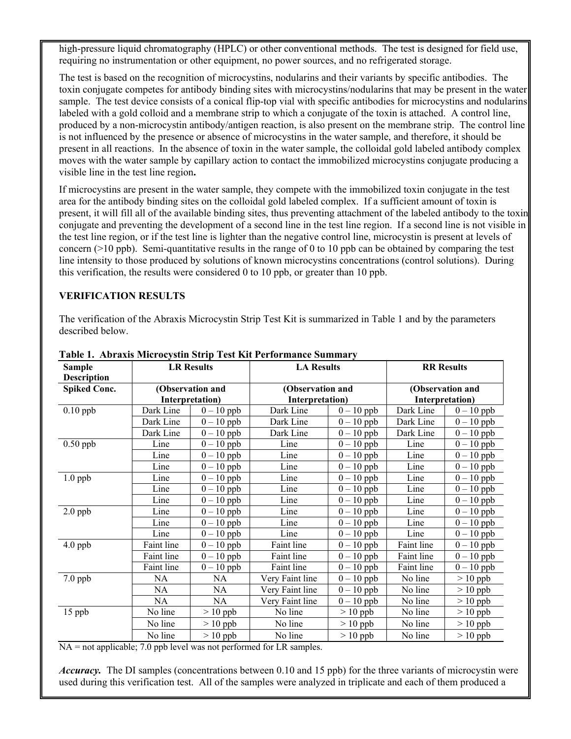high-pressure liquid chromatography (HPLC) or other conventional methods. The test is designed for field use, requiring no instrumentation or other equipment, no power sources, and no refrigerated storage.

The test is based on the recognition of microcystins, nodularins and their variants by specific antibodies. The toxin conjugate competes for antibody binding sites with microcystins/nodularins that may be present in the water sample. The test device consists of a conical flip-top vial with specific antibodies for microcystins and nodularins labeled with a gold colloid and a membrane strip to which a conjugate of the toxin is attached. A control line, produced by a non-microcystin antibody/antigen reaction, is also present on the membrane strip. The control line is not influenced by the presence or absence of microcystins in the water sample, and therefore, it should be present in all reactions. In the absence of toxin in the water sample, the colloidal gold labeled antibody complex moves with the water sample by capillary action to contact the immobilized microcystins conjugate producing a visible line in the test line region**.**

If microcystins are present in the water sample, they compete with the immobilized toxin conjugate in the test area for the antibody binding sites on the colloidal gold labeled complex. If a sufficient amount of toxin is present, it will fill all of the available binding sites, thus preventing attachment of the labeled antibody to the toxin conjugate and preventing the development of a second line in the test line region. If a second line is not visible in the test line region, or if the test line is lighter than the negative control line, microcystin is present at levels of concern (>10 ppb). Semi-quantitative results in the range of 0 to 10 ppb can be obtained by comparing the test line intensity to those produced by solutions of known microcystins concentrations (control solutions). During this verification, the results were considered 0 to 10 ppb, or greater than 10 ppb.

## **VERIFICATION RESULTS**

The verification of the Abraxis Microcystin Strip Test Kit is summarized in Table 1 and by the parameters described below.

| <b>Sample</b>       |            | <b>LR Results</b> | <b>LA Results</b> |            |                 | <b>RR</b> Results       |
|---------------------|------------|-------------------|-------------------|------------|-----------------|-------------------------|
| <b>Description</b>  |            |                   |                   |            |                 |                         |
| <b>Spiked Conc.</b> |            | (Observation and  | (Observation and  |            |                 | (Observation and        |
|                     |            | Interpretation)   | Interpretation)   |            | Interpretation) |                         |
| $0.10$ ppb          | Dark Line  | $0 - 10$ ppb      | Dark Line         | $0-10$ ppb | Dark Line       | $0-10$ ppb              |
|                     | Dark Line  | $0-10$ ppb        | Dark Line         | $0-10$ ppb | Dark Line       | $0-10$ ppb              |
|                     | Dark Line  | $0 - 10$ ppb      | Dark Line         | $0-10$ ppb | Dark Line       | $\overline{0}$ – 10 ppb |
| $0.50$ ppb          | Line       | $0-10$ ppb        | Line              | $0-10$ ppb | Line            | $\overline{0} - 10$ ppb |
|                     | Line       | $0-10$ ppb        | Line              | $0-10$ ppb | Line            | $0-10$ ppb              |
|                     | Line       | $0-10$ ppb        | Line              | $0-10$ ppb | Line            | $0-10$ ppb              |
| $1.0$ ppb           | Line       | $0-10$ ppb        | Line              | $0-10$ ppb | Line            | $0-10$ ppb              |
|                     | Line       | $0-10$ ppb        | Line              | $0-10$ ppb | Line            | $0-10$ ppb              |
|                     | Line       | $0-10$ ppb        | Line              | $0-10$ ppb | Line            | $0 - 10$ ppb            |
| $2.0$ ppb           | Line       | $0-10$ ppb        | Line              | $0-10$ ppb | Line            | $0-10$ ppb              |
|                     | Line       | $0-10$ ppb        | Line              | $0-10$ ppb | Line            | $\overline{0}$ – 10 ppb |
|                     | Line       | $0 - 10$ ppb      | Line              | $0-10$ ppb | Line            | $\overline{0}$ – 10 ppb |
| 4.0 ppb             | Faint line | $0 - 10$ ppb      | Faint line        | $0-10$ ppb | Faint line      | $\overline{0}$ – 10 ppb |
|                     | Faint line | $0 - 10$ ppb      | Faint line        | $0-10$ ppb | Faint line      | $\overline{0} - 10$ ppb |
|                     | Faint line | $0-10$ ppb        | Faint line        | $0-10$ ppb | Faint line      | $0 - 10$ ppb            |
| 7.0 ppb             | NA         | NA                | Very Faint line   | $0-10$ ppb | No line         | $> 10$ ppb              |
|                     | NA         | NA                | Very Faint line   | $0-10$ ppb | No line         | $> 10$ ppb              |
|                     | NA         | NA                | Very Faint line   | $0-10$ ppb | No line         | $> 10$ ppb              |
| 15 ppb              | No line    | $> 10$ ppb        | No line           | $> 10$ ppb | No line         | $> 10$ ppb              |
|                     | No line    | $> 10$ ppb        | No line           | $> 10$ ppb | No line         | $> 10$ ppb              |
|                     | No line    | $> 10$ ppb        | No line           | $> 10$ ppb | No line         | $> 10$ ppb              |

**Table 1. Abraxis Microcystin Strip Test Kit Performance Summary**

NA = not applicable; 7.0 ppb level was not performed for LR samples.

*Accuracy.* The DI samples (concentrations between 0.10 and 15 ppb) for the three variants of microcystin were used during this verification test. All of the samples were analyzed in triplicate and each of them produced a